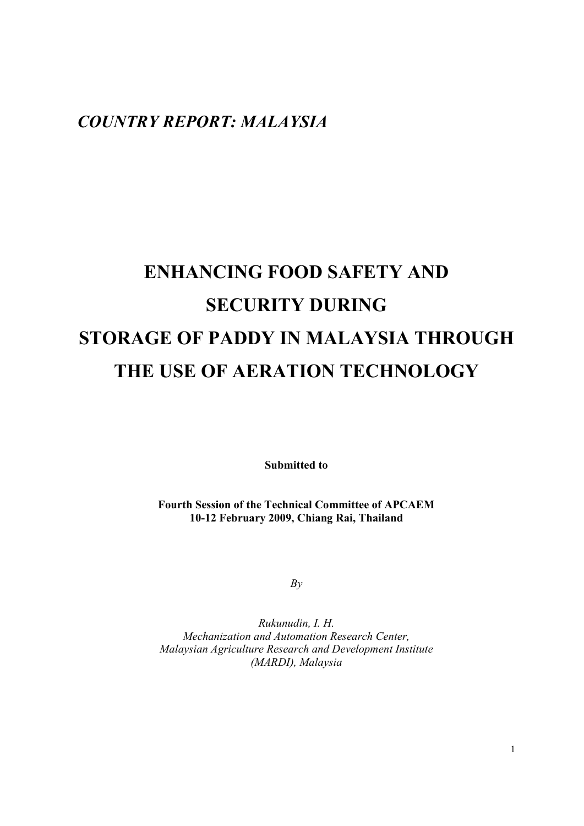# *COUNTRY REPORT: MALAYSIA*

# **ENHANCING FOOD SAFETY AND SECURITY DURING STORAGE OF PADDY IN MALAYSIA THROUGH THE USE OF AERATION TECHNOLOGY**

**Submitted to** 

**Fourth Session of the Technical Committee of APCAEM 10-12 February 2009, Chiang Rai, Thailand** 

*By* 

*Rukunudin, I. H. Mechanization and Automation Research Center, Malaysian Agriculture Research and Development Institute (MARDI), Malaysia*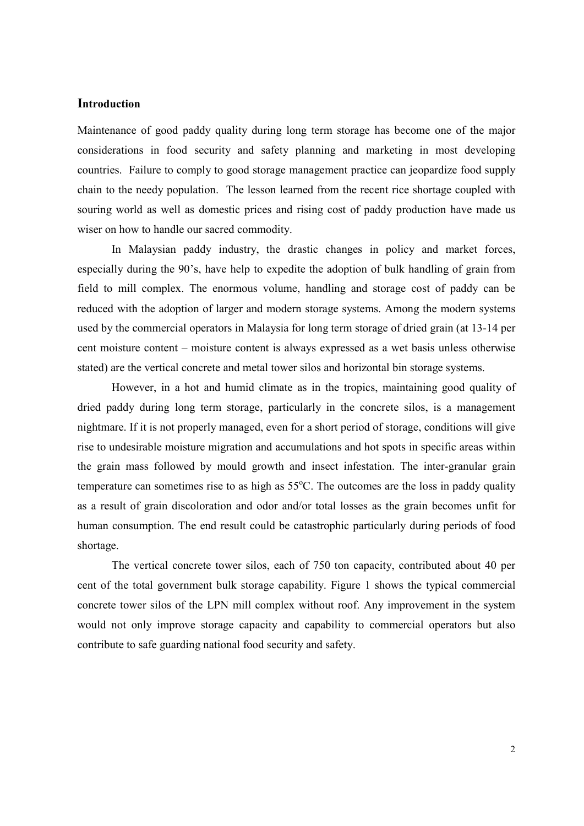# **Introduction**

Maintenance of good paddy quality during long term storage has become one of the major considerations in food security and safety planning and marketing in most developing countries. Failure to comply to good storage management practice can jeopardize food supply chain to the needy population. The lesson learned from the recent rice shortage coupled with souring world as well as domestic prices and rising cost of paddy production have made us wiser on how to handle our sacred commodity.

In Malaysian paddy industry, the drastic changes in policy and market forces, especially during the 90's, have help to expedite the adoption of bulk handling of grain from field to mill complex. The enormous volume, handling and storage cost of paddy can be reduced with the adoption of larger and modern storage systems. Among the modern systems used by the commercial operators in Malaysia for long term storage of dried grain (at 13-14 per cent moisture content – moisture content is always expressed as a wet basis unless otherwise stated) are the vertical concrete and metal tower silos and horizontal bin storage systems.

However, in a hot and humid climate as in the tropics, maintaining good quality of dried paddy during long term storage, particularly in the concrete silos, is a management nightmare. If it is not properly managed, even for a short period of storage, conditions will give rise to undesirable moisture migration and accumulations and hot spots in specific areas within the grain mass followed by mould growth and insect infestation. The inter-granular grain temperature can sometimes rise to as high as  $55^{\circ}$ C. The outcomes are the loss in paddy quality as a result of grain discoloration and odor and/or total losses as the grain becomes unfit for human consumption. The end result could be catastrophic particularly during periods of food shortage.

The vertical concrete tower silos, each of 750 ton capacity, contributed about 40 per cent of the total government bulk storage capability. Figure 1 shows the typical commercial concrete tower silos of the LPN mill complex without roof. Any improvement in the system would not only improve storage capacity and capability to commercial operators but also contribute to safe guarding national food security and safety.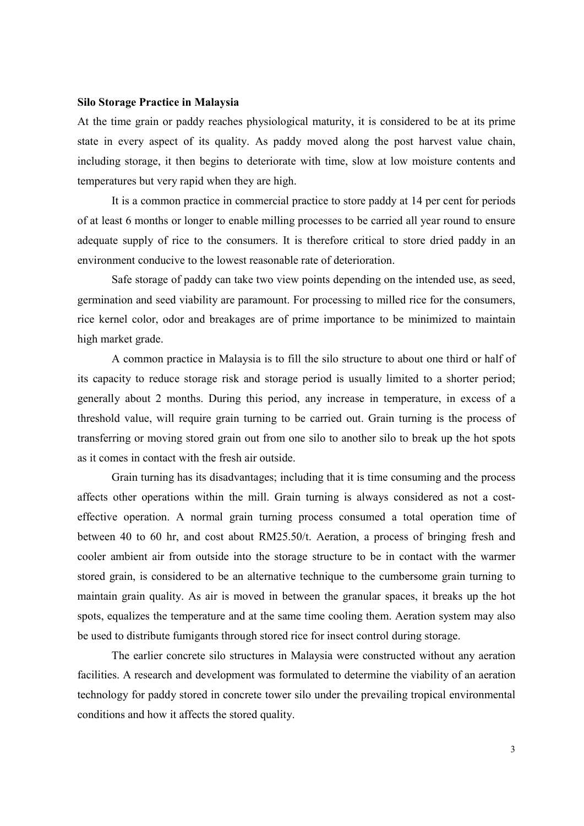#### **Silo Storage Practice in Malaysia**

At the time grain or paddy reaches physiological maturity, it is considered to be at its prime state in every aspect of its quality. As paddy moved along the post harvest value chain, including storage, it then begins to deteriorate with time, slow at low moisture contents and temperatures but very rapid when they are high.

It is a common practice in commercial practice to store paddy at 14 per cent for periods of at least 6 months or longer to enable milling processes to be carried all year round to ensure adequate supply of rice to the consumers. It is therefore critical to store dried paddy in an environment conducive to the lowest reasonable rate of deterioration.

Safe storage of paddy can take two view points depending on the intended use, as seed, germination and seed viability are paramount. For processing to milled rice for the consumers, rice kernel color, odor and breakages are of prime importance to be minimized to maintain high market grade.

A common practice in Malaysia is to fill the silo structure to about one third or half of its capacity to reduce storage risk and storage period is usually limited to a shorter period; generally about 2 months. During this period, any increase in temperature, in excess of a threshold value, will require grain turning to be carried out. Grain turning is the process of transferring or moving stored grain out from one silo to another silo to break up the hot spots as it comes in contact with the fresh air outside.

 Grain turning has its disadvantages; including that it is time consuming and the process affects other operations within the mill. Grain turning is always considered as not a costeffective operation. A normal grain turning process consumed a total operation time of between 40 to 60 hr, and cost about RM25.50/t. Aeration, a process of bringing fresh and cooler ambient air from outside into the storage structure to be in contact with the warmer stored grain, is considered to be an alternative technique to the cumbersome grain turning to maintain grain quality. As air is moved in between the granular spaces, it breaks up the hot spots, equalizes the temperature and at the same time cooling them. Aeration system may also be used to distribute fumigants through stored rice for insect control during storage.

 The earlier concrete silo structures in Malaysia were constructed without any aeration facilities. A research and development was formulated to determine the viability of an aeration technology for paddy stored in concrete tower silo under the prevailing tropical environmental conditions and how it affects the stored quality.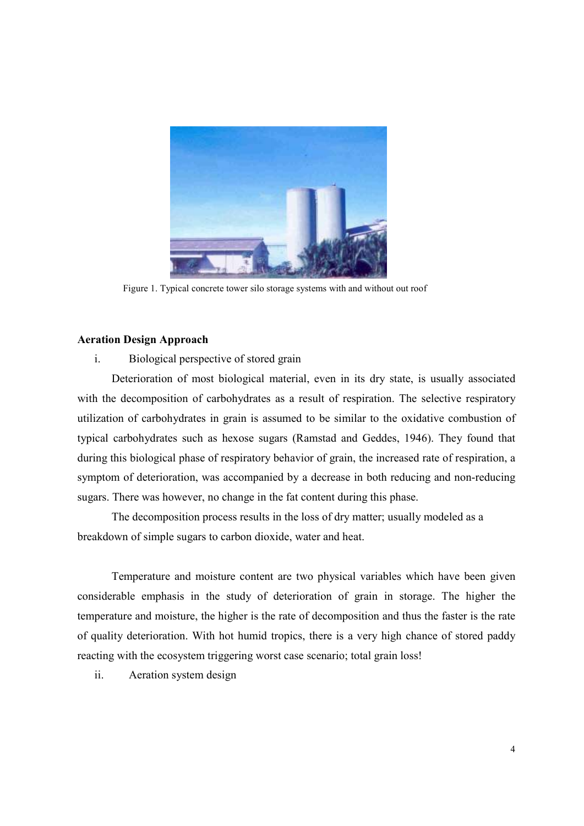

Figure 1. Typical concrete tower silo storage systems with and without out roof

# **Aeration Design Approach**

# i. Biological perspective of stored grain

 Deterioration of most biological material, even in its dry state, is usually associated with the decomposition of carbohydrates as a result of respiration. The selective respiratory utilization of carbohydrates in grain is assumed to be similar to the oxidative combustion of typical carbohydrates such as hexose sugars (Ramstad and Geddes, 1946). They found that during this biological phase of respiratory behavior of grain, the increased rate of respiration, a symptom of deterioration, was accompanied by a decrease in both reducing and non-reducing sugars. There was however, no change in the fat content during this phase.

 The decomposition process results in the loss of dry matter; usually modeled as a breakdown of simple sugars to carbon dioxide, water and heat.

Temperature and moisture content are two physical variables which have been given considerable emphasis in the study of deterioration of grain in storage. The higher the temperature and moisture, the higher is the rate of decomposition and thus the faster is the rate of quality deterioration. With hot humid tropics, there is a very high chance of stored paddy reacting with the ecosystem triggering worst case scenario; total grain loss!

ii. Aeration system design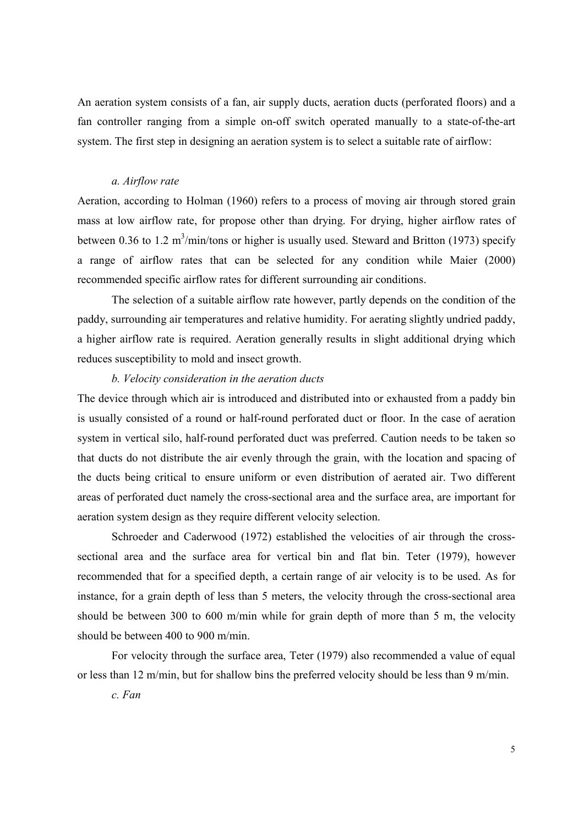An aeration system consists of a fan, air supply ducts, aeration ducts (perforated floors) and a fan controller ranging from a simple on-off switch operated manually to a state-of-the-art system. The first step in designing an aeration system is to select a suitable rate of airflow:

#### *a. Airflow rate*

Aeration, according to Holman (1960) refers to a process of moving air through stored grain mass at low airflow rate, for propose other than drying. For drying, higher airflow rates of between 0.36 to 1.2 m<sup>3</sup>/min/tons or higher is usually used. Steward and Britton (1973) specify a range of airflow rates that can be selected for any condition while Maier (2000) recommended specific airflow rates for different surrounding air conditions.

 The selection of a suitable airflow rate however, partly depends on the condition of the paddy, surrounding air temperatures and relative humidity. For aerating slightly undried paddy, a higher airflow rate is required. Aeration generally results in slight additional drying which reduces susceptibility to mold and insect growth.

#### *b. Velocity consideration in the aeration ducts*

The device through which air is introduced and distributed into or exhausted from a paddy bin is usually consisted of a round or half-round perforated duct or floor. In the case of aeration system in vertical silo, half-round perforated duct was preferred. Caution needs to be taken so that ducts do not distribute the air evenly through the grain, with the location and spacing of the ducts being critical to ensure uniform or even distribution of aerated air. Two different areas of perforated duct namely the cross-sectional area and the surface area, are important for aeration system design as they require different velocity selection.

 Schroeder and Caderwood (1972) established the velocities of air through the crosssectional area and the surface area for vertical bin and flat bin. Teter (1979), however recommended that for a specified depth, a certain range of air velocity is to be used. As for instance, for a grain depth of less than 5 meters, the velocity through the cross-sectional area should be between 300 to 600 m/min while for grain depth of more than 5 m, the velocity should be between 400 to 900 m/min.

For velocity through the surface area, Teter (1979) also recommended a value of equal or less than 12 m/min, but for shallow bins the preferred velocity should be less than 9 m/min.

 *c. Fan*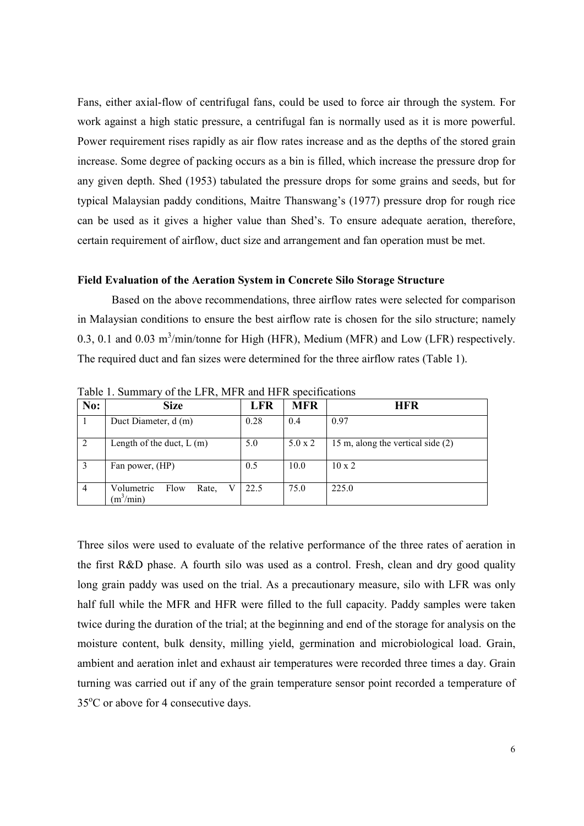Fans, either axial-flow of centrifugal fans, could be used to force air through the system. For work against a high static pressure, a centrifugal fan is normally used as it is more powerful. Power requirement rises rapidly as air flow rates increase and as the depths of the stored grain increase. Some degree of packing occurs as a bin is filled, which increase the pressure drop for any given depth. Shed (1953) tabulated the pressure drops for some grains and seeds, but for typical Malaysian paddy conditions, Maitre Thanswang's (1977) pressure drop for rough rice can be used as it gives a higher value than Shed's. To ensure adequate aeration, therefore, certain requirement of airflow, duct size and arrangement and fan operation must be met.

#### **Field Evaluation of the Aeration System in Concrete Silo Storage Structure**

Based on the above recommendations, three airflow rates were selected for comparison in Malaysian conditions to ensure the best airflow rate is chosen for the silo structure; namely 0.3, 0.1 and 0.03 m<sup>3</sup>/min/tonne for High (HFR), Medium (MFR) and Low (LFR) respectively. The required duct and fan sizes were determined for the three airflow rates (Table 1).

| No: | <b>Size</b>                                | <b>LFR</b> | <b>MFR</b>     | <b>HFR</b>                        |
|-----|--------------------------------------------|------------|----------------|-----------------------------------|
|     | Duct Diameter, d (m)                       | 0.28       | 0.4            | 0.97                              |
|     | Length of the duct, $L(m)$                 | 5.0        | $5.0 \times 2$ | 15 m, along the vertical side (2) |
|     | Fan power, (HP)                            | 0.5        | 10.0           | $10 \times 2$                     |
|     | Volumetric<br>Flow<br>Rate,<br>$(m^3/min)$ | 22.5       | 75.0           | 225.0                             |

Table 1. Summary of the LFR, MFR and HFR specifications

Three silos were used to evaluate of the relative performance of the three rates of aeration in the first R&D phase. A fourth silo was used as a control. Fresh, clean and dry good quality long grain paddy was used on the trial. As a precautionary measure, silo with LFR was only half full while the MFR and HFR were filled to the full capacity. Paddy samples were taken twice during the duration of the trial; at the beginning and end of the storage for analysis on the moisture content, bulk density, milling yield, germination and microbiological load. Grain, ambient and aeration inlet and exhaust air temperatures were recorded three times a day. Grain turning was carried out if any of the grain temperature sensor point recorded a temperature of 35<sup>o</sup>C or above for 4 consecutive days.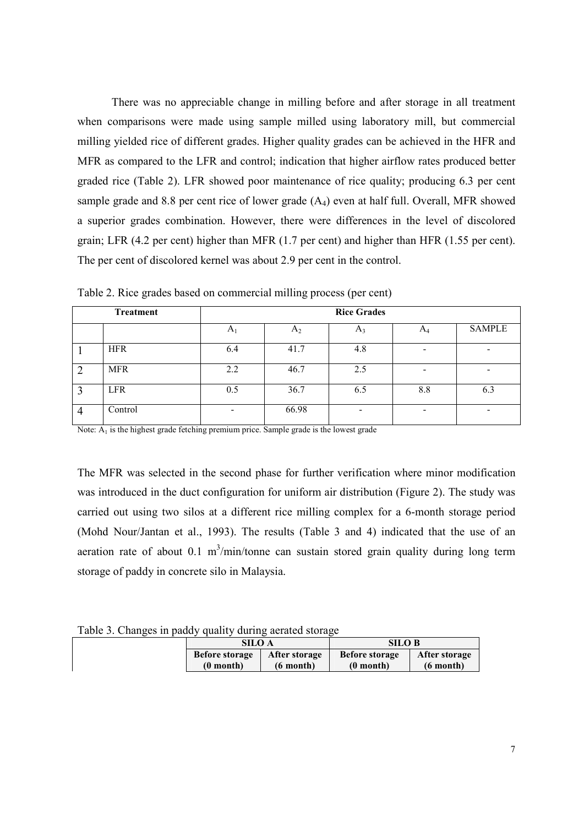There was no appreciable change in milling before and after storage in all treatment when comparisons were made using sample milled using laboratory mill, but commercial milling yielded rice of different grades. Higher quality grades can be achieved in the HFR and MFR as compared to the LFR and control; indication that higher airflow rates produced better graded rice (Table 2). LFR showed poor maintenance of rice quality; producing 6.3 per cent sample grade and 8.8 per cent rice of lower grade  $(A<sub>4</sub>)$  even at half full. Overall, MFR showed a superior grades combination. However, there were differences in the level of discolored grain; LFR (4.2 per cent) higher than MFR (1.7 per cent) and higher than HFR (1.55 per cent). The per cent of discolored kernel was about 2.9 per cent in the control.

|                | <b>Treatment</b> | <b>Rice Grades</b>       |                |                          |                          |               |
|----------------|------------------|--------------------------|----------------|--------------------------|--------------------------|---------------|
|                |                  | $A_1$                    | A <sub>2</sub> | $A_3$                    | $A_4$                    | <b>SAMPLE</b> |
|                | <b>HFR</b>       | 6.4                      | 41.7           | 4.8                      | $\overline{\phantom{0}}$ | ٠             |
| $\overline{2}$ | <b>MFR</b>       | 2.2                      | 46.7           | 2.5                      |                          |               |
| 3              | <b>LFR</b>       | 0.5                      | 36.7           | 6.5                      | 8.8                      | 6.3           |
| $\overline{4}$ | Control          | $\overline{\phantom{0}}$ | 66.98          | $\overline{\phantom{0}}$ | $\overline{\phantom{0}}$ | -             |

Table 2. Rice grades based on commercial milling process (per cent)

Note:  $A_1$  is the highest grade fetching premium price. Sample grade is the lowest grade

The MFR was selected in the second phase for further verification where minor modification was introduced in the duct configuration for uniform air distribution (Figure 2). The study was carried out using two silos at a different rice milling complex for a 6-month storage period (Mohd Nour/Jantan et al., 1993). The results (Table 3 and 4) indicated that the use of an aeration rate of about  $0.1 \text{ m}^3/\text{min}/\text{ton}$ ne can sustain stored grain quality during long term storage of paddy in concrete silo in Malaysia.

Table 3. Changes in paddy quality during aerated storage

| SILO A                |                     | <b>SILO B</b>         |                     |  |
|-----------------------|---------------------|-----------------------|---------------------|--|
| <b>Before storage</b> | After storage       | <b>Before storage</b> | After storage       |  |
| $(0$ month)           | $(6 \text{ month})$ | $(0$ month)           | $(6 \text{ month})$ |  |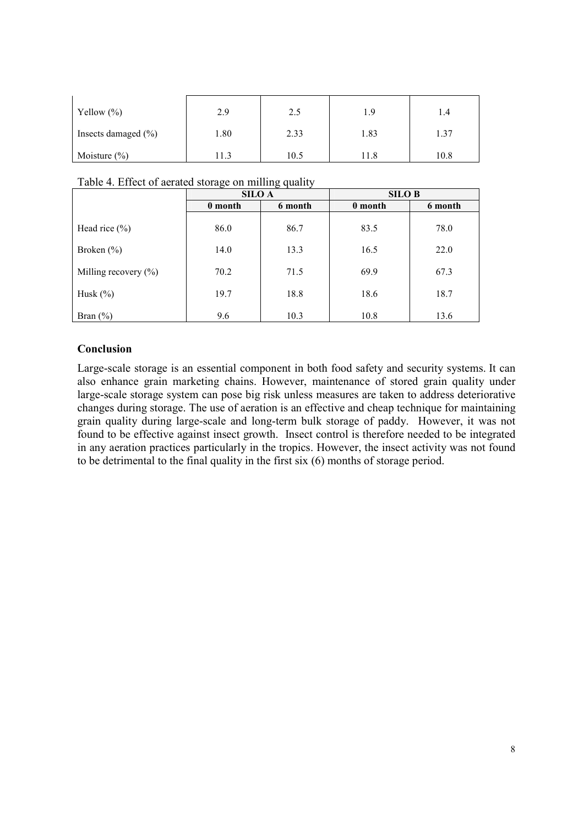| Yellow $(\%)$          | 2.9   | 2.5  | 1.9  | 1.4  |
|------------------------|-------|------|------|------|
| Insects damaged $(\%)$ | 1.80  | 2.33 | 1.83 | 1.37 |
| Moisture $(\% )$       | l 1.3 | 10.5 |      | 10.8 |

|  |  | Table 4. Effect of aerated storage on milling quality |  |  |  |
|--|--|-------------------------------------------------------|--|--|--|
|--|--|-------------------------------------------------------|--|--|--|

|                          | <b>SILO A</b> |         | <b>SILO B</b> |         |  |
|--------------------------|---------------|---------|---------------|---------|--|
|                          | 0 month       | 6 month | 0 month       | 6 month |  |
| Head rice $(\%)$         | 86.0          | 86.7    | 83.5          | 78.0    |  |
| Broken $(\% )$           | 14.0          | 13.3    | 16.5          | 22.0    |  |
| Milling recovery $(\% )$ | 70.2          | 71.5    | 69.9          | 67.3    |  |
| Husk $(\%)$              | 19.7          | 18.8    | 18.6          | 18.7    |  |
| Bran $(\% )$             | 9.6           | 10.3    | 10.8          | 13.6    |  |

# **Conclusion**

Large-scale storage is an essential component in both food safety and security systems. It can also enhance grain marketing chains. However, maintenance of stored grain quality under large-scale storage system can pose big risk unless measures are taken to address deteriorative changes during storage. The use of aeration is an effective and cheap technique for maintaining grain quality during large-scale and long-term bulk storage of paddy. However, it was not found to be effective against insect growth. Insect control is therefore needed to be integrated in any aeration practices particularly in the tropics. However, the insect activity was not found to be detrimental to the final quality in the first six (6) months of storage period.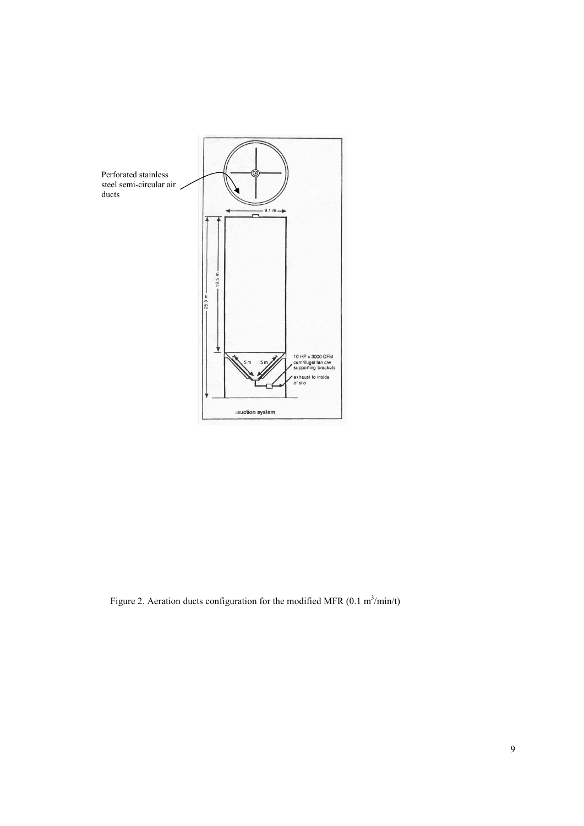

Figure 2. Aeration ducts configuration for the modified MFR  $(0.1 \text{ m}^3/\text{min/t})$